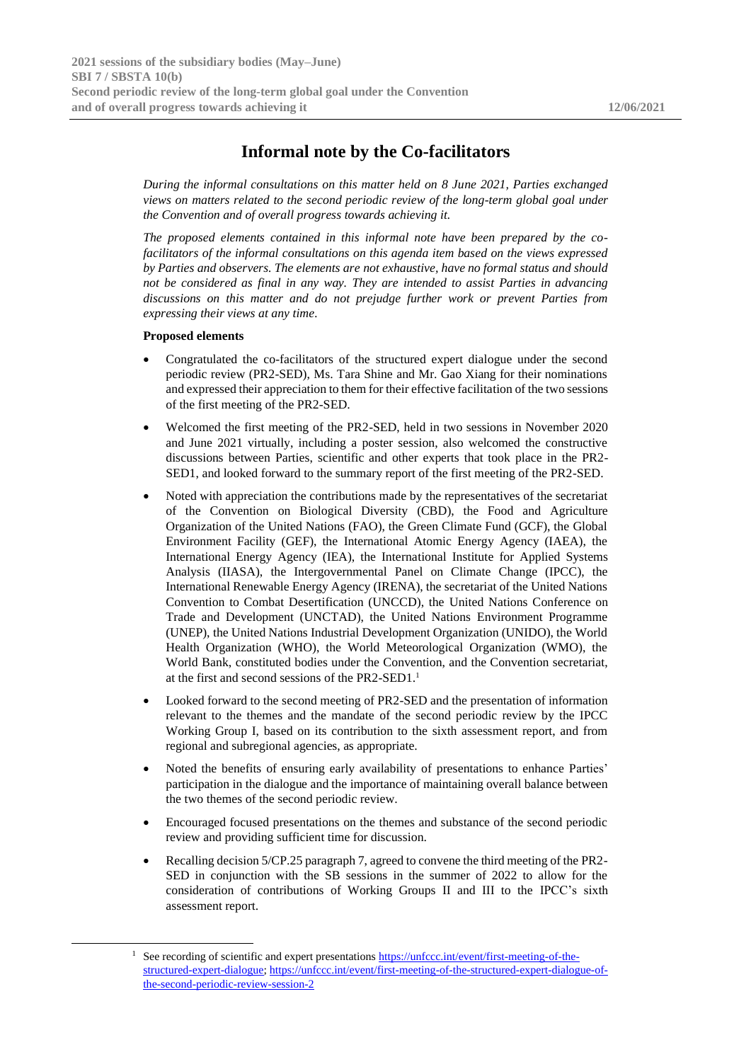## **Informal note by the Co-facilitators**

*During the informal consultations on this matter held on 8 June 2021, Parties exchanged views on matters related to the second periodic review of the long-term global goal under the Convention and of overall progress towards achieving it.*

*The proposed elements contained in this informal note have been prepared by the cofacilitators of the informal consultations on this agenda item based on the views expressed by Parties and observers. The elements are not exhaustive, have no formal status and should not be considered as final in any way. They are intended to assist Parties in advancing discussions on this matter and do not prejudge further work or prevent Parties from expressing their views at any time.*

## **Proposed elements**

- Congratulated the co-facilitators of the structured expert dialogue under the second periodic review (PR2-SED), Ms. Tara Shine and Mr. Gao Xiang for their nominations and expressed their appreciation to them for their effective facilitation of the two sessions of the first meeting of the PR2-SED.
- Welcomed the first meeting of the PR2-SED, held in two sessions in November 2020 and June 2021 virtually, including a poster session, also welcomed the constructive discussions between Parties, scientific and other experts that took place in the PR2- SED1, and looked forward to the summary report of the first meeting of the PR2-SED.
- Noted with appreciation the contributions made by the representatives of the secretariat of the Convention on Biological Diversity (CBD), the Food and Agriculture Organization of the United Nations (FAO), the Green Climate Fund (GCF), the Global Environment Facility (GEF), the International Atomic Energy Agency (IAEA), the International Energy Agency (IEA), the International Institute for Applied Systems Analysis (IIASA), the Intergovernmental Panel on Climate Change (IPCC), the International Renewable Energy Agency (IRENA), the secretariat of the United Nations Convention to Combat Desertification (UNCCD), the United Nations Conference on Trade and Development (UNCTAD), the United Nations Environment Programme (UNEP), the United Nations Industrial Development Organization (UNIDO), the World Health Organization (WHO), the World Meteorological Organization (WMO), the World Bank, constituted bodies under the Convention, and the Convention secretariat, at the first and second sessions of the PR2-SED1.<sup>1</sup>
- Looked forward to the second meeting of PR2-SED and the presentation of information relevant to the themes and the mandate of the second periodic review by the IPCC Working Group I, based on its contribution to the sixth assessment report, and from regional and subregional agencies, as appropriate.
- Noted the benefits of ensuring early availability of presentations to enhance Parties' participation in the dialogue and the importance of maintaining overall balance between the two themes of the second periodic review.
- Encouraged focused presentations on the themes and substance of the second periodic review and providing sufficient time for discussion.
- Recalling decision 5/CP.25 paragraph 7, agreed to convene the third meeting of the PR2- SED in conjunction with the SB sessions in the summer of 2022 to allow for the consideration of contributions of Working Groups II and III to the IPCC's sixth assessment report.

<sup>&</sup>lt;sup>1</sup> See recording of scientific and expert presentations [https://unfccc.int/event/first-meeting-of-the](https://unfccc.int/event/first-meeting-of-the-structured-expert-dialogue)[structured-expert-dialogue;](https://unfccc.int/event/first-meeting-of-the-structured-expert-dialogue) [https://unfccc.int/event/first-meeting-of-the-structured-expert-dialogue-of](https://unfccc.int/event/first-meeting-of-the-structured-expert-dialogue-of-the-second-periodic-review-session-2)[the-second-periodic-review-session-2](https://unfccc.int/event/first-meeting-of-the-structured-expert-dialogue-of-the-second-periodic-review-session-2)